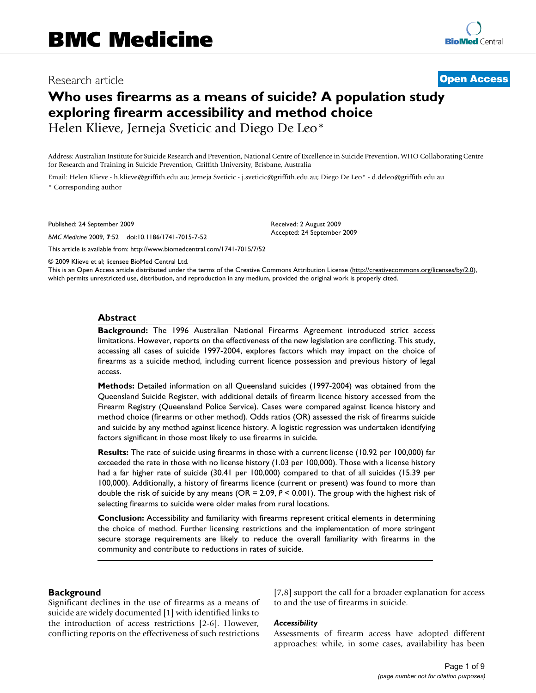# Research article **[Open Access](http://www.biomedcentral.com/info/about/charter/)**

# **Who uses firearms as a means of suicide? A population study exploring firearm accessibility and method choice** Helen Klieve, Jerneja Sveticic and Diego De Leo\*

Address: Australian Institute for Suicide Research and Prevention, National Centre of Excellence in Suicide Prevention, WHO Collaborating Centre for Research and Training in Suicide Prevention, Griffith University, Brisbane, Australia

Email: Helen Klieve - h.klieve@griffith.edu.au; Jerneja Sveticic - j.sveticic@griffith.edu.au; Diego De Leo\* - d.deleo@griffith.edu.au \* Corresponding author

Published: 24 September 2009

*BMC Medicine* 2009, **7**:52 doi:10.1186/1741-7015-7-52

[This article is available from: http://www.biomedcentral.com/1741-7015/7/52](http://www.biomedcentral.com/1741-7015/7/52)

Received: 2 August 2009 Accepted: 24 September 2009

© 2009 Klieve et al; licensee BioMed Central Ltd.

This is an Open Access article distributed under the terms of the Creative Commons Attribution License [\(http://creativecommons.org/licenses/by/2.0\)](http://creativecommons.org/licenses/by/2.0), which permits unrestricted use, distribution, and reproduction in any medium, provided the original work is properly cited.

#### **Abstract**

**Background:** The 1996 Australian National Firearms Agreement introduced strict access limitations. However, reports on the effectiveness of the new legislation are conflicting. This study, accessing all cases of suicide 1997-2004, explores factors which may impact on the choice of firearms as a suicide method, including current licence possession and previous history of legal access.

**Methods:** Detailed information on all Queensland suicides (1997-2004) was obtained from the Queensland Suicide Register, with additional details of firearm licence history accessed from the Firearm Registry (Queensland Police Service). Cases were compared against licence history and method choice (firearms or other method). Odds ratios (OR) assessed the risk of firearms suicide and suicide by any method against licence history. A logistic regression was undertaken identifying factors significant in those most likely to use firearms in suicide.

**Results:** The rate of suicide using firearms in those with a current license (10.92 per 100,000) far exceeded the rate in those with no license history (1.03 per 100,000). Those with a license history had a far higher rate of suicide (30.41 per 100,000) compared to that of all suicides (15.39 per 100,000). Additionally, a history of firearms licence (current or present) was found to more than double the risk of suicide by any means (OR = 2.09, *P* < 0.001). The group with the highest risk of selecting firearms to suicide were older males from rural locations.

**Conclusion:** Accessibility and familiarity with firearms represent critical elements in determining the choice of method. Further licensing restrictions and the implementation of more stringent secure storage requirements are likely to reduce the overall familiarity with firearms in the community and contribute to reductions in rates of suicide.

#### **Background**

Significant declines in the use of firearms as a means of suicide are widely documented [1] with identified links to the introduction of access restrictions [2-6]. However, conflicting reports on the effectiveness of such restrictions [7,8] support the call for a broader explanation for access to and the use of firearms in suicide.

#### *Accessibility*

Assessments of firearm access have adopted different approaches: while, in some cases, availability has been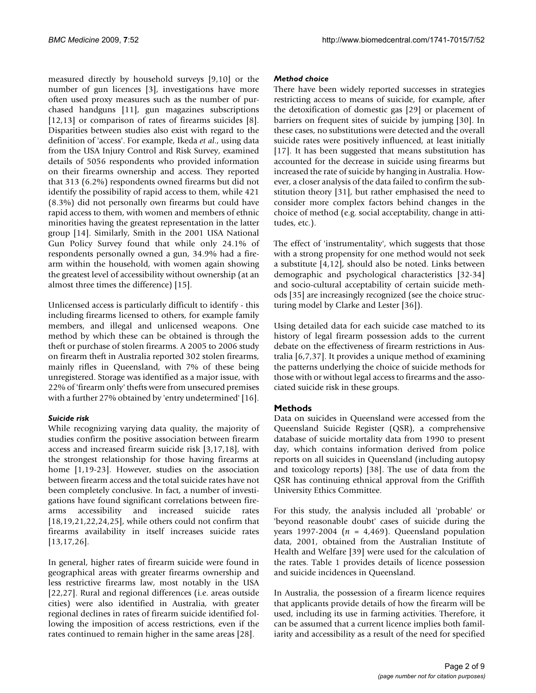measured directly by household surveys [9,10] or the number of gun licences [3], investigations have more often used proxy measures such as the number of purchased handguns [11], gun magazines subscriptions [12,13] or comparison of rates of firearms suicides [8]. Disparities between studies also exist with regard to the definition of 'access'. For example, Ikeda *et al*., using data from the USA Injury Control and Risk Survey, examined details of 5056 respondents who provided information on their firearms ownership and access. They reported that 313 (6.2%) respondents owned firearms but did not identify the possibility of rapid access to them, while 421 (8.3%) did not personally own firearms but could have rapid access to them, with women and members of ethnic minorities having the greatest representation in the latter group [14]. Similarly, Smith in the 2001 USA National Gun Policy Survey found that while only 24.1% of respondents personally owned a gun, 34.9% had a firearm within the household, with women again showing the greatest level of accessibility without ownership (at an almost three times the difference) [15].

Unlicensed access is particularly difficult to identify - this including firearms licensed to others, for example family members, and illegal and unlicensed weapons. One method by which these can be obtained is through the theft or purchase of stolen firearms. A 2005 to 2006 study on firearm theft in Australia reported 302 stolen firearms, mainly rifles in Queensland, with 7% of these being unregistered. Storage was identified as a major issue, with 22% of 'firearm only' thefts were from unsecured premises with a further 27% obtained by 'entry undetermined' [16].

## *Suicide risk*

While recognizing varying data quality, the majority of studies confirm the positive association between firearm access and increased firearm suicide risk [3,17,18], with the strongest relationship for those having firearms at home [1,19-23]. However, studies on the association between firearm access and the total suicide rates have not been completely conclusive. In fact, a number of investigations have found significant correlations between firearms accessibility and increased suicide rates  $[18, 19, 21, 22, 24, 25]$ , while others could not confirm that firearms availability in itself increases suicide rates [13,17,26].

In general, higher rates of firearm suicide were found in geographical areas with greater firearms ownership and less restrictive firearms law, most notably in the USA [22,27]. Rural and regional differences (i.e. areas outside cities) were also identified in Australia, with greater regional declines in rates of firearm suicide identified following the imposition of access restrictions, even if the rates continued to remain higher in the same areas [28].

#### *Method choice*

There have been widely reported successes in strategies restricting access to means of suicide, for example, after the detoxification of domestic gas [29] or placement of barriers on frequent sites of suicide by jumping [30]. In these cases, no substitutions were detected and the overall suicide rates were positively influenced, at least initially [17]. It has been suggested that means substitution has accounted for the decrease in suicide using firearms but increased the rate of suicide by hanging in Australia. However, a closer analysis of the data failed to confirm the substitution theory [31], but rather emphasised the need to consider more complex factors behind changes in the choice of method (e.g. social acceptability, change in attitudes, etc.).

The effect of 'instrumentality', which suggests that those with a strong propensity for one method would not seek a substitute [4,12], should also be noted. Links between demographic and psychological characteristics [32-34] and socio-cultural acceptability of certain suicide methods [35] are increasingly recognized (see the choice structuring model by Clarke and Lester [36]).

Using detailed data for each suicide case matched to its history of legal firearm possession adds to the current debate on the effectiveness of firearm restrictions in Australia [6,7,37]. It provides a unique method of examining the patterns underlying the choice of suicide methods for those with or without legal access to firearms and the associated suicide risk in these groups.

## **Methods**

Data on suicides in Queensland were accessed from the Queensland Suicide Register (QSR), a comprehensive database of suicide mortality data from 1990 to present day, which contains information derived from police reports on all suicides in Queensland (including autopsy and toxicology reports) [38]. The use of data from the QSR has continuing ethnical approval from the Griffith University Ethics Committee.

For this study, the analysis included all 'probable' or 'beyond reasonable doubt' cases of suicide during the years 1997-2004 (*n* = 4,469). Queensland population data, 2001, obtained from the Australian Institute of Health and Welfare [39] were used for the calculation of the rates. Table 1 provides details of licence possession and suicide incidences in Queensland.

In Australia, the possession of a firearm licence requires that applicants provide details of how the firearm will be used, including its use in farming activities. Therefore, it can be assumed that a current licence implies both familiarity and accessibility as a result of the need for specified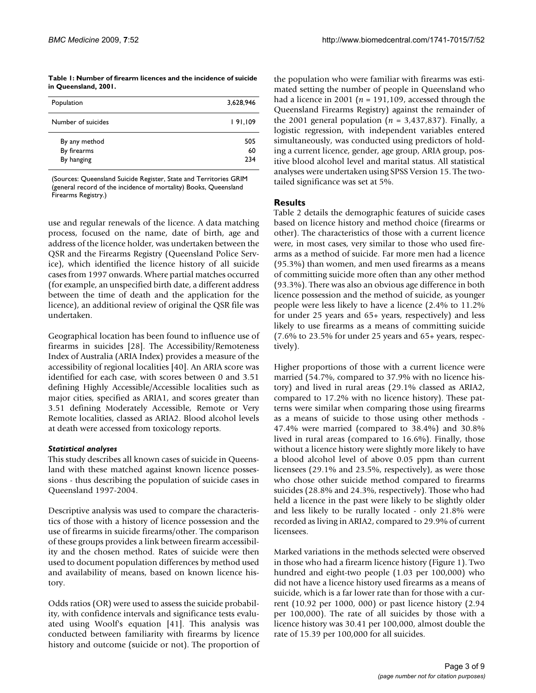#### **Table 1: Number of firearm licences and the incidence of suicide in Queensland, 2001.**

| Population         | 3,628,946 |
|--------------------|-----------|
| Number of suicides | 191,109   |
| By any method      | 505       |
| By firearms        | 60        |
| By hanging         | 234       |

(Sources: Queensland Suicide Register, State and Territories GRIM (general record of the incidence of mortality) Books, Queensland Firearms Registry.)

use and regular renewals of the licence. A data matching process, focused on the name, date of birth, age and address of the licence holder, was undertaken between the QSR and the Firearms Registry (Queensland Police Service), which identified the licence history of all suicide cases from 1997 onwards. Where partial matches occurred (for example, an unspecified birth date, a different address between the time of death and the application for the licence), an additional review of original the QSR file was undertaken.

Geographical location has been found to influence use of firearms in suicides [28]. The Accessibility/Remoteness Index of Australia (ARIA Index) provides a measure of the accessibility of regional localities [40]. An ARIA score was identified for each case, with scores between 0 and 3.51 defining Highly Accessible/Accessible localities such as major cities, specified as ARIA1, and scores greater than 3.51 defining Moderately Accessible, Remote or Very Remote localities, classed as ARIA2. Blood alcohol levels at death were accessed from toxicology reports.

## *Statistical analyses*

This study describes all known cases of suicide in Queensland with these matched against known licence possessions - thus describing the population of suicide cases in Queensland 1997-2004.

Descriptive analysis was used to compare the characteristics of those with a history of licence possession and the use of firearms in suicide firearms/other. The comparison of these groups provides a link between firearm accessibility and the chosen method. Rates of suicide were then used to document population differences by method used and availability of means, based on known licence history.

Odds ratios (OR) were used to assess the suicide probability, with confidence intervals and significance tests evaluated using Woolf's equation [41]. This analysis was conducted between familiarity with firearms by licence history and outcome (suicide or not). The proportion of the population who were familiar with firearms was estimated setting the number of people in Queensland who had a licence in 2001 ( $n = 191,109$ , accessed through the Queensland Firearms Registry) against the remainder of the 2001 general population ( $n = 3,437,837$ ). Finally, a logistic regression, with independent variables entered simultaneously, was conducted using predictors of holding a current licence, gender, age group, ARIA group, positive blood alcohol level and marital status. All statistical analyses were undertaken using SPSS Version 15. The twotailed significance was set at 5%.

# **Results**

Table 2 details the demographic features of suicide cases based on licence history and method choice (firearms or other). The characteristics of those with a current licence were, in most cases, very similar to those who used firearms as a method of suicide. Far more men had a licence (95.3%) than women, and men used firearms as a means of committing suicide more often than any other method (93.3%). There was also an obvious age difference in both licence possession and the method of suicide, as younger people were less likely to have a licence (2.4% to 11.2% for under 25 years and 65+ years, respectively) and less likely to use firearms as a means of committing suicide (7.6% to 23.5% for under 25 years and 65+ years, respectively).

Higher proportions of those with a current licence were married (54.7%, compared to 37.9% with no licence history) and lived in rural areas (29.1% classed as ARIA2, compared to 17.2% with no licence history). These patterns were similar when comparing those using firearms as a means of suicide to those using other methods - 47.4% were married (compared to 38.4%) and 30.8% lived in rural areas (compared to 16.6%). Finally, those without a licence history were slightly more likely to have a blood alcohol level of above 0.05 ppm than current licensees (29.1% and 23.5%, respectively), as were those who chose other suicide method compared to firearms suicides (28.8% and 24.3%, respectively). Those who had held a licence in the past were likely to be slightly older and less likely to be rurally located - only 21.8% were recorded as living in ARIA2, compared to 29.9% of current licensees.

Marked variations in the methods selected were observed in those who had a firearm licence history (Figure 1). Two hundred and eight-two people (1.03 per 100,000) who did not have a licence history used firearms as a means of suicide, which is a far lower rate than for those with a current (10.92 per 1000, 000) or past licence history (2.94 per 100,000). The rate of all suicides by those with a licence history was 30.41 per 100,000, almost double the rate of 15.39 per 100,000 for all suicides.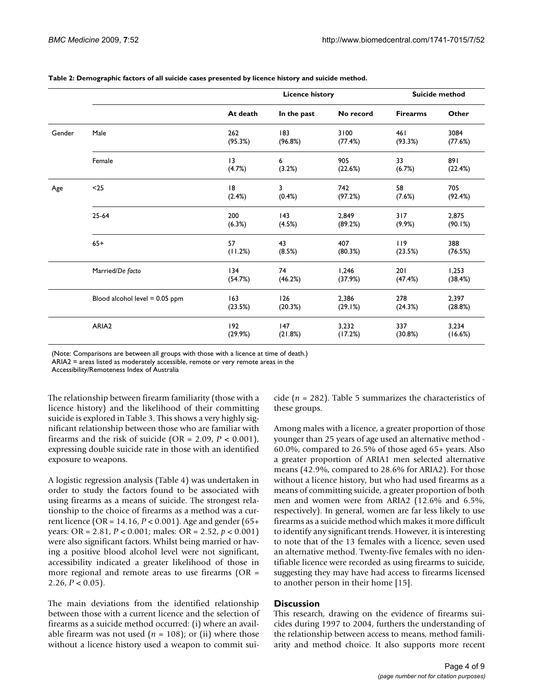|        |                                | <b>Licence history</b> |                |                  | Suicide method  |                  |
|--------|--------------------------------|------------------------|----------------|------------------|-----------------|------------------|
|        |                                | At death               | In the past    | No record        | <b>Firearms</b> | Other            |
| Gender | Male                           | 262<br>(95.3%)         | 183<br>(96.8%) | 3100<br>(77.4%)  | 461<br>(93.3%)  | 3084<br>(77.6%)  |
|        | Female                         | 13<br>(4.7%)           | 6<br>(3.2%)    | 905<br>(22.6%)   | 33<br>(6.7%)    | 891<br>(22.4%)   |
| Age    | $25$                           | 18<br>(2.4%)           | 3<br>(0.4%)    | 742<br>(97.2%)   | 58<br>(7.6%)    | 705<br>(92.4%)   |
|        | $25 - 64$                      | 200<br>(6.3%)          | 143<br>(4.5%)  | 2,849<br>(89.2%) | 317<br>(9.9%)   | 2,875<br>(90.1%) |
|        | $65+$                          | 57<br>(11.2%)          | 43<br>(8.5%)   | 407<br>(80.3%)   | 119<br>(23.5%)  | 388<br>(76.5%)   |
|        | Married/De facto               | 134<br>(54.7%)         | 74<br>(46.2%)  | 1,246<br>(37.9%) | 201<br>(47.4%)  | 1,253<br>(38.4%) |
|        | Blood alcohol level = 0.05 ppm | 163<br>(23.5%)         | 126<br>(20.3%) | 2,386<br>(29.1%) | 278<br>(24.3%)  | 2,397<br>(28.8%) |
|        | ARIA2                          | 192<br>(29.9%)         | 147<br>(21.8%) | 3,232<br>(17.2%) | 337<br>(30.8%)  | 3,234<br>(16.6%) |

#### **Table 2: Demographic factors of all suicide cases presented by licence history and suicide method.**

(Note: Comparisons are between all groups with those with a licence at time of death.)

ARIA2 = areas listed as moderately accessible, remote or very remote areas in the

Accessibility/Remoteness Index of Australia

The relationship between firearm familiarity (those with a licence history) and the likelihood of their committing suicide is explored in Table 3. This shows a very highly significant relationship between those who are familiar with firearms and the risk of suicide (OR =  $2.09$ ,  $P < 0.001$ ), expressing double suicide rate in those with an identified exposure to weapons.

A logistic regression analysis (Table 4) was undertaken in order to study the factors found to be associated with using firearms as a means of suicide. The strongest relationship to the choice of firearms as a method was a current licence (OR = 14.16, *P* < 0.001). Age and gender (65+ years: OR = 2.81, *P* < 0.001; males: OR = 2.52, *p* < 0.001) were also significant factors. Whilst being married or having a positive blood alcohol level were not significant, accessibility indicated a greater likelihood of those in more regional and remote areas to use firearms (OR = 2.26,  $P < 0.05$ ).

The main deviations from the identified relationship between those with a current licence and the selection of firearms as a suicide method occurred: (i) where an available firearm was not used  $(n = 108)$ ; or (ii) where those without a licence history used a weapon to commit suicide (*n* = 282). Table 5 summarizes the characteristics of these groups.

Among males with a licence, a greater proportion of those younger than 25 years of age used an alternative method - 60.0%, compared to 26.5% of those aged 65+ years. Also a greater proportion of ARIA1 men selected alternative means (42.9%, compared to 28.6% for ARIA2). For those without a licence history, but who had used firearms as a means of committing suicide, a greater proportion of both men and women were from ARIA2 (12.6% and 6.5%, respectively). In general, women are far less likely to use firearms as a suicide method which makes it more difficult to identify any significant trends. However, it is interesting to note that of the 13 females with a licence, seven used an alternative method. Twenty-five females with no identifiable licence were recorded as using firearms to suicide, suggesting they may have had access to firearms licensed to another person in their home [15].

#### **Discussion**

This research, drawing on the evidence of firearms suicides during 1997 to 2004, furthers the understanding of the relationship between access to means, method familiarity and method choice. It also supports more recent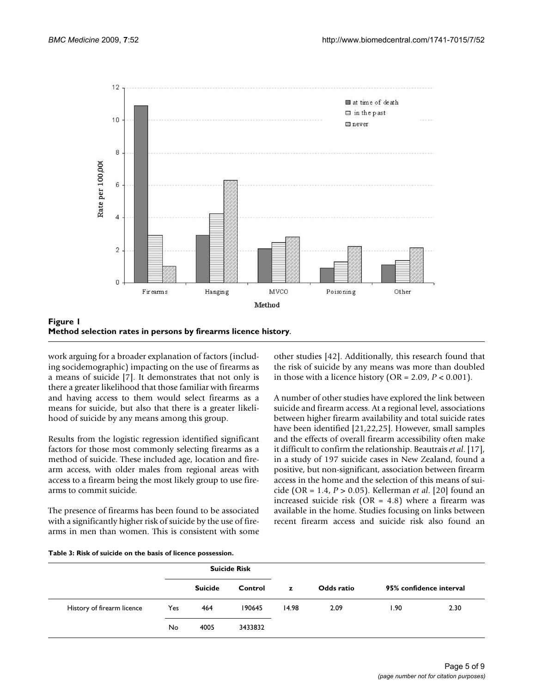



work arguing for a broader explanation of factors (including socidemographic) impacting on the use of firearms as a means of suicide [7]. It demonstrates that not only is there a greater likelihood that those familiar with firearms and having access to them would select firearms as a means for suicide, but also that there is a greater likelihood of suicide by any means among this group.

Results from the logistic regression identified significant factors for those most commonly selecting firearms as a method of suicide. These included age, location and firearm access, with older males from regional areas with access to a firearm being the most likely group to use firearms to commit suicide.

The presence of firearms has been found to be associated with a significantly higher risk of suicide by the use of firearms in men than women. This is consistent with some other studies [42]. Additionally, this research found that the risk of suicide by any means was more than doubled in those with a licence history ( $OR = 2.09$ ,  $P < 0.001$ ).

A number of other studies have explored the link between suicide and firearm access. At a regional level, associations between higher firearm availability and total suicide rates have been identified [21,22,25]. However, small samples and the effects of overall firearm accessibility often make it difficult to confirm the relationship. Beautrais *et al*. [17], in a study of 197 suicide cases in New Zealand, found a positive, but non-significant, association between firearm access in the home and the selection of this means of suicide (OR = 1.4, *P* > 0.05). Kellerman *et al*. [20] found an increased suicide risk (OR =  $4.8$ ) where a firearm was available in the home. Studies focusing on links between recent firearm access and suicide risk also found an

| Table 3: Risk of suicide on the basis of licence possession. |  |  |  |  |  |  |
|--------------------------------------------------------------|--|--|--|--|--|--|
|--------------------------------------------------------------|--|--|--|--|--|--|

|                            |     | <b>Suicide Risk</b> |         |       |            |       |                         |
|----------------------------|-----|---------------------|---------|-------|------------|-------|-------------------------|
|                            |     | <b>Suicide</b>      | Control | z     | Odds ratio |       | 95% confidence interval |
| History of firearm licence | Yes | 464                 | 190645  | 14.98 | 2.09       | 90. ا | 2.30                    |
|                            | No. | 4005                | 3433832 |       |            |       |                         |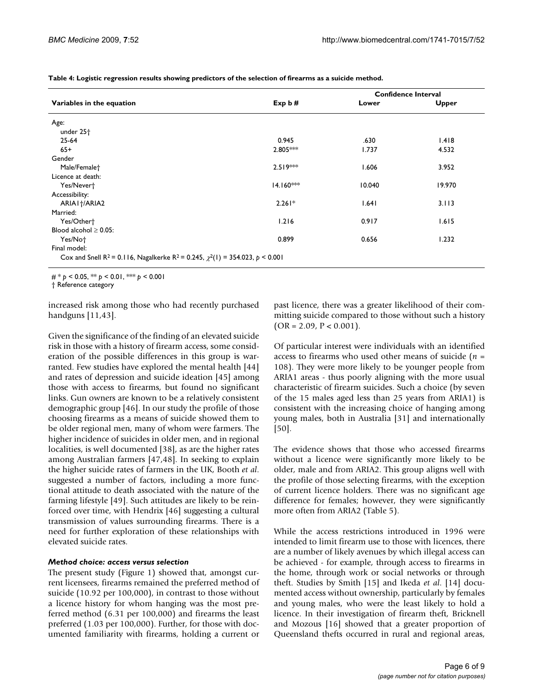**Table 4: Logistic regression results showing predictors of the selection of firearms as a suicide method.**

|                                                                                                             |             | <b>Confidence Interval</b> |              |  |
|-------------------------------------------------------------------------------------------------------------|-------------|----------------------------|--------------|--|
| Variables in the equation                                                                                   | Exp $b$ #   | Lower                      | <b>Upper</b> |  |
| Age:                                                                                                        |             |                            |              |  |
| under 25 <sup>+</sup>                                                                                       |             |                            |              |  |
| $25 - 64$                                                                                                   | 0.945       | .630                       | 1.418        |  |
| $65+$                                                                                                       | $2.805***$  | 1.737                      | 4.532        |  |
| Gender                                                                                                      |             |                            |              |  |
| Male/Femalet                                                                                                | $2.519***$  | 1.606                      | 3.952        |  |
| Licence at death:                                                                                           |             |                            |              |  |
| Yes/Nevert                                                                                                  | $14.160***$ | 10.040                     | 19.970       |  |
| Accessibility:                                                                                              |             |                            |              |  |
| ARIA1+/ARIA2                                                                                                | $2.261*$    | 1.641                      | 3.113        |  |
| Married:                                                                                                    |             |                            |              |  |
| Yes/Other†                                                                                                  | 1.216       | 0.917                      | 1.615        |  |
| Blood alcohol $\geq$ 0.05:                                                                                  |             |                            |              |  |
| Yes/Not                                                                                                     | 0.899       | 0.656                      | 1.232        |  |
| Final model:                                                                                                |             |                            |              |  |
| Cox and Snell R <sup>2</sup> = 0.116, Nagalkerke R <sup>2</sup> = 0.245, $\chi^2(1)$ = 354.023, $p < 0.001$ |             |                            |              |  |

# \* *p* < 0.05, \*\* *p* < 0.01, \*\*\* *p* < 0.001

† Reference category

increased risk among those who had recently purchased handguns [11,43].

Given the significance of the finding of an elevated suicide risk in those with a history of firearm access, some consideration of the possible differences in this group is warranted. Few studies have explored the mental health [44] and rates of depression and suicide ideation [45] among those with access to firearms, but found no significant links. Gun owners are known to be a relatively consistent demographic group [46]. In our study the profile of those choosing firearms as a means of suicide showed them to be older regional men, many of whom were farmers. The higher incidence of suicides in older men, and in regional localities, is well documented [38], as are the higher rates among Australian farmers [47,48]. In seeking to explain the higher suicide rates of farmers in the UK, Booth *et al*. suggested a number of factors, including a more functional attitude to death associated with the nature of the farming lifestyle [49]. Such attitudes are likely to be reinforced over time, with Hendrix [46] suggesting a cultural transmission of values surrounding firearms. There is a need for further exploration of these relationships with elevated suicide rates.

#### *Method choice: access versus selection*

The present study (Figure 1) showed that, amongst current licensees, firearms remained the preferred method of suicide (10.92 per 100,000), in contrast to those without a licence history for whom hanging was the most preferred method (6.31 per 100,000) and firearms the least preferred (1.03 per 100,000). Further, for those with documented familiarity with firearms, holding a current or past licence, there was a greater likelihood of their committing suicide compared to those without such a history  $(OR = 2.09, P < 0.001).$ 

Of particular interest were individuals with an identified access to firearms who used other means of suicide (*n* = 108). They were more likely to be younger people from ARIA1 areas - thus poorly aligning with the more usual characteristic of firearm suicides. Such a choice (by seven of the 15 males aged less than 25 years from ARIA1) is consistent with the increasing choice of hanging among young males, both in Australia [31] and internationally [50].

The evidence shows that those who accessed firearms without a licence were significantly more likely to be older, male and from ARIA2. This group aligns well with the profile of those selecting firearms, with the exception of current licence holders. There was no significant age difference for females; however, they were significantly more often from ARIA2 (Table 5).

While the access restrictions introduced in 1996 were intended to limit firearm use to those with licences, there are a number of likely avenues by which illegal access can be achieved - for example, through access to firearms in the home, through work or social networks or through theft. Studies by Smith [15] and Ikeda *et al*. [14] documented access without ownership, particularly by females and young males, who were the least likely to hold a licence. In their investigation of firearm theft, Bricknell and Mozous [16] showed that a greater proportion of Queensland thefts occurred in rural and regional areas,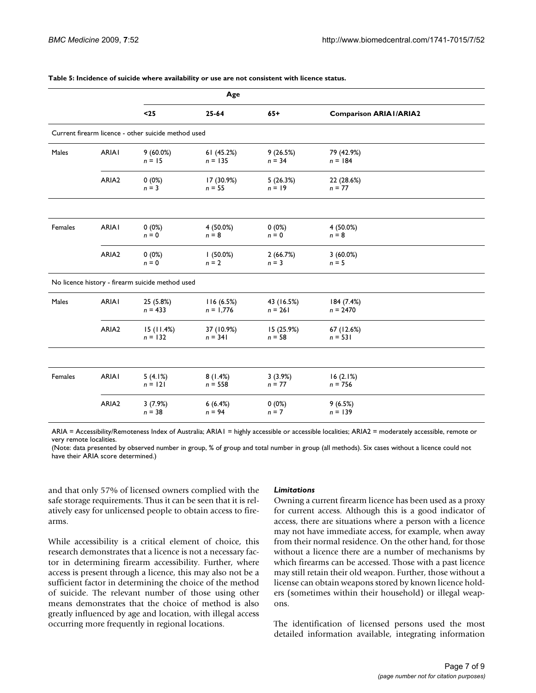|         |                   |                                                     | Age                      |                         |                               |  |
|---------|-------------------|-----------------------------------------------------|--------------------------|-------------------------|-------------------------------|--|
|         |                   | $25$                                                | $25 - 64$                | $65+$                   | <b>Comparison ARIAI/ARIA2</b> |  |
|         |                   | Current firearm licence - other suicide method used |                          |                         |                               |  |
| Males   | <b>ARIAI</b>      | 9(60.0%)<br>$n = 15$                                | 61 (45.2%)<br>$n = 135$  | 9(26.5%)<br>$n = 34$    | 79 (42.9%)<br>$n = 184$       |  |
|         | ARIA <sub>2</sub> | $0(0\%)$<br>$n = 3$                                 | 17 (30.9%)<br>$n = 55$   | 5(26.3%)<br>$n = 19$    | 22 (28.6%)<br>$n = 77$        |  |
|         |                   |                                                     |                          |                         |                               |  |
| Females | <b>ARIAI</b>      | $0(0\%)$<br>$n = 0$                                 | $4(50.0\%)$<br>$n = 8$   | $0(0\%)$<br>$n = 0$     | 4 (50.0%)<br>$n = 8$          |  |
|         | ARIA <sub>2</sub> | $0(0\%)$<br>$n = 0$                                 | $(50.0\%)$<br>$n = 2$    | 2(66.7%)<br>$n = 3$     | $3(60.0\%)$<br>$n = 5$        |  |
|         |                   | No licence history - firearm suicide method used    |                          |                         |                               |  |
| Males   | <b>ARIAI</b>      | 25 (5.8%)<br>$n = 433$                              | 116(6.5%)<br>$n = 1,776$ | 43 (16.5%)<br>$n = 261$ | 184 (7.4%)<br>$n = 2470$      |  |
|         | ARIA <sub>2</sub> | 15(11.4%)<br>$n = 132$                              | 37 (10.9%)<br>$n = 341$  | 15 (25.9%)<br>$n = 58$  | 67 (12.6%)<br>$n = 531$       |  |
|         |                   |                                                     |                          |                         |                               |  |
| Females | <b>ARIAI</b>      | 5(4.1%)<br>$n = 121$                                | 8(1.4%)<br>$n = 558$     | 3(3.9%)<br>$n = 77$     | 16(2.1%)<br>$n = 756$         |  |
|         | ARIA <sub>2</sub> | 3(7.9%)<br>$n = 38$                                 | 6(6.4%)<br>$n = 94$      | $0(0\%)$<br>$n = 7$     | 9(6.5%)<br>$n = 139$          |  |

#### **Table 5: Incidence of suicide where availability or use are not consistent with licence status.**

ARIA = Accessibility/Remoteness Index of Australia; ARIA1 = highly accessible or accessible localities; ARIA2 = moderately accessible, remote or very remote localities.

(Note: data presented by observed number in group, % of group and total number in group (all methods). Six cases without a licence could not have their ARIA score determined.)

and that only 57% of licensed owners complied with the safe storage requirements. Thus it can be seen that it is relatively easy for unlicensed people to obtain access to firearms.

While accessibility is a critical element of choice, this research demonstrates that a licence is not a necessary factor in determining firearm accessibility. Further, where access is present through a licence, this may also not be a sufficient factor in determining the choice of the method of suicide. The relevant number of those using other means demonstrates that the choice of method is also greatly influenced by age and location, with illegal access occurring more frequently in regional locations.

#### *Limitations*

Owning a current firearm licence has been used as a proxy for current access. Although this is a good indicator of access, there are situations where a person with a licence may not have immediate access, for example, when away from their normal residence. On the other hand, for those without a licence there are a number of mechanisms by which firearms can be accessed. Those with a past licence may still retain their old weapon. Further, those without a license can obtain weapons stored by known licence holders (sometimes within their household) or illegal weapons.

The identification of licensed persons used the most detailed information available, integrating information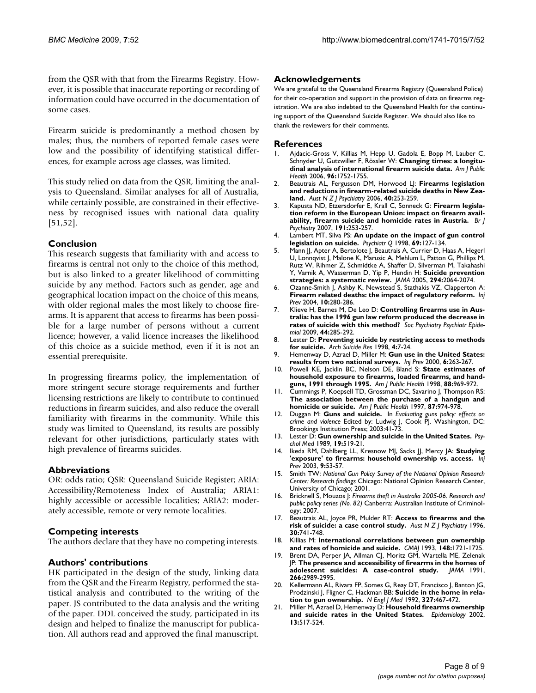from the QSR with that from the Firearms Registry. However, it is possible that inaccurate reporting or recording of information could have occurred in the documentation of some cases.

Firearm suicide is predominantly a method chosen by males; thus, the numbers of reported female cases were low and the possibility of identifying statistical differences, for example across age classes, was limited.

This study relied on data from the QSR, limiting the analysis to Queensland. Similar analyses for all of Australia, while certainly possible, are constrained in their effectiveness by recognised issues with national data quality [51,52].

# **Conclusion**

This research suggests that familiarity with and access to firearms is central not only to the choice of this method, but is also linked to a greater likelihood of committing suicide by any method. Factors such as gender, age and geographical location impact on the choice of this means, with older regional males the most likely to choose firearms. It is apparent that access to firearms has been possible for a large number of persons without a current licence; however, a valid licence increases the likelihood of this choice as a suicide method, even if it is not an essential prerequisite.

In progressing firearms policy, the implementation of more stringent secure storage requirements and further licensing restrictions are likely to contribute to continued reductions in firearm suicides, and also reduce the overall familiarity with firearms in the community. While this study was limited to Queensland, its results are possibly relevant for other jurisdictions, particularly states with high prevalence of firearms suicides.

## **Abbreviations**

OR: odds ratio; QSR: Queensland Suicide Register; ARIA: Accessibility/Remoteness Index of Australia; ARIA1: highly accessible or accessible localities; ARIA2: moderately accessible, remote or very remote localities.

## **Competing interests**

The authors declare that they have no competing interests.

## **Authors' contributions**

HK participated in the design of the study, linking data from the QSR and the Firearm Registry, performed the statistical analysis and contributed to the writing of the paper. JS contributed to the data analysis and the writing of the paper. DDL conceived the study, participated in its design and helped to finalize the manuscript for publication. All authors read and approved the final manuscript.

#### **Acknowledgements**

We are grateful to the Queensland Firearms Registry (Queensland Police) for their co-operation and support in the provision of data on firearms registration. We are also indebted to the Queensland Health for the continuing support of the Queensland Suicide Register. We should also like to thank the reviewers for their comments.

#### **References**

- 1. Ajdacic-Gross V, Killias M, Hepp U, Gadola E, Bopp M, Lauber C, Schnyder U, Gutzwiller F, Rössler W: **[Changing times: a longitu](http://www.ncbi.nlm.nih.gov/entrez/query.fcgi?cmd=Retrieve&db=PubMed&dopt=Abstract&list_uids=16946021)[dinal analysis of international firearm suicide data.](http://www.ncbi.nlm.nih.gov/entrez/query.fcgi?cmd=Retrieve&db=PubMed&dopt=Abstract&list_uids=16946021)** *Am J Public Health* 2006, **96:**1752-1755.
- 2. Beautrais AL, Fergusson DM, Horwood LJ: **[Firearms legislation](http://www.ncbi.nlm.nih.gov/entrez/query.fcgi?cmd=Retrieve&db=PubMed&dopt=Abstract&list_uids=16476153) [and reductions in firearm-related suicide deaths in New Zea](http://www.ncbi.nlm.nih.gov/entrez/query.fcgi?cmd=Retrieve&db=PubMed&dopt=Abstract&list_uids=16476153)[land.](http://www.ncbi.nlm.nih.gov/entrez/query.fcgi?cmd=Retrieve&db=PubMed&dopt=Abstract&list_uids=16476153)** *Aust N Z J Psychiatry* 2006, **40:**253-259.
- 3. Kapusta ND, Etzersdorfer E, Krall C, Sonneck G: **[Firearm legisla](http://www.ncbi.nlm.nih.gov/entrez/query.fcgi?cmd=Retrieve&db=PubMed&dopt=Abstract&list_uids=17766767)[tion reform in the European Union: impact on firearm avail](http://www.ncbi.nlm.nih.gov/entrez/query.fcgi?cmd=Retrieve&db=PubMed&dopt=Abstract&list_uids=17766767)[ability, firearm suicide and homicide rates in Austria.](http://www.ncbi.nlm.nih.gov/entrez/query.fcgi?cmd=Retrieve&db=PubMed&dopt=Abstract&list_uids=17766767)** *Br J Psychiatry* 2007, **191:**253-257.
- 4. Lambert MT, Silva PS: **[An update on the impact of gun control](http://www.ncbi.nlm.nih.gov/entrez/query.fcgi?cmd=Retrieve&db=PubMed&dopt=Abstract&list_uids=9627930) [legislation on suicide.](http://www.ncbi.nlm.nih.gov/entrez/query.fcgi?cmd=Retrieve&db=PubMed&dopt=Abstract&list_uids=9627930)** *Psychiatr Q* 1998, **69:**127-134.
- 5. Mann JJ, Apter A, Bertolote J, Beautrais A, Currier D, Haas A, Hegerl U, Lonnqvist J, Malone K, Marusic A, Mehlum L, Patton G, Phillips M, Rutz W, Rihmer Z, Schmidtke A, Shaffer D, Silverman M, Takahashi Y, Varnik A, Wasserman D, Yip P, Hendin H: **[Suicide prevention](http://www.ncbi.nlm.nih.gov/entrez/query.fcgi?cmd=Retrieve&db=PubMed&dopt=Abstract&list_uids=16249421) [strategies: a systematic review.](http://www.ncbi.nlm.nih.gov/entrez/query.fcgi?cmd=Retrieve&db=PubMed&dopt=Abstract&list_uids=16249421)** *JAMA* 2005, **294:**2064-2074.
- 6. Ozanne-Smith J, Ashby K, Newstead S, Stathakis VZ, Clapperton A: **[Firearm related deaths: the impact of regulatory reform.](http://www.ncbi.nlm.nih.gov/entrez/query.fcgi?cmd=Retrieve&db=PubMed&dopt=Abstract&list_uids=15470007)** *Inj Prev* 2004, **10:**280-286.
- 7. Klieve H, Barnes M, De Leo D: **[Controlling firearms use in Aus](http://www.ncbi.nlm.nih.gov/entrez/query.fcgi?cmd=Retrieve&db=PubMed&dopt=Abstract&list_uids=18839044)[tralia: has the 1996 gun law reform produced the decrease in](http://www.ncbi.nlm.nih.gov/entrez/query.fcgi?cmd=Retrieve&db=PubMed&dopt=Abstract&list_uids=18839044) [rates of suicide with this method?](http://www.ncbi.nlm.nih.gov/entrez/query.fcgi?cmd=Retrieve&db=PubMed&dopt=Abstract&list_uids=18839044)** *Soc Psychiatry Psychiatr Epidemiol* 2009, **44:**285-292.
- 8. Lester D: **Preventing suicide by restricting access to methods for suicide.** *Arch Suicide Res* 1998, **4:**7-24.
- 9. Hemenway D, Azrael D, Miller M: **[Gun use in the United States:](http://www.ncbi.nlm.nih.gov/entrez/query.fcgi?cmd=Retrieve&db=PubMed&dopt=Abstract&list_uids=11144624) [results from two national surveys.](http://www.ncbi.nlm.nih.gov/entrez/query.fcgi?cmd=Retrieve&db=PubMed&dopt=Abstract&list_uids=11144624)** *Inj Prev* 2000, **6:**263-267.
- 10. Powell KE, Jacklin BC, Nelson DE, Bland S: **[State estimates of](http://www.ncbi.nlm.nih.gov/entrez/query.fcgi?cmd=Retrieve&db=PubMed&dopt=Abstract&list_uids=9618633) [household exposure to firearms, loaded firearms, and hand](http://www.ncbi.nlm.nih.gov/entrez/query.fcgi?cmd=Retrieve&db=PubMed&dopt=Abstract&list_uids=9618633)[guns, 1991 through 1995.](http://www.ncbi.nlm.nih.gov/entrez/query.fcgi?cmd=Retrieve&db=PubMed&dopt=Abstract&list_uids=9618633)** *Am J Public Health* 1998, **88:**969-972.
- 11. Cummings P, Koepsell TD, Grossman DC, Savarino J, Thompson RS: **[The association between the purchase of a handgun and](http://www.ncbi.nlm.nih.gov/entrez/query.fcgi?cmd=Retrieve&db=PubMed&dopt=Abstract&list_uids=9224179) [homicide or suicide.](http://www.ncbi.nlm.nih.gov/entrez/query.fcgi?cmd=Retrieve&db=PubMed&dopt=Abstract&list_uids=9224179)** *Am J Public Health* 1997, **87:**974-978.
- 12. Duggan M: **Guns and suicide.** In *Evaluating guns policy: effects on crime and violence* Edited by: Ludwig J, Cook PJ. Washington, DC: Brookings Institution Press; 2003:41-73.
- 13. Lester D: **[Gun ownership and suicide in the United States.](http://www.ncbi.nlm.nih.gov/entrez/query.fcgi?cmd=Retrieve&db=PubMed&dopt=Abstract&list_uids=2788293)** *Psychol Med* 1989, **19:**519-21.
- 14. Ikeda RM, Dahlberg LL, Kresnow MJ, Sacks JJ, Mercy JA: **[Studying](http://www.ncbi.nlm.nih.gov/entrez/query.fcgi?cmd=Retrieve&db=PubMed&dopt=Abstract&list_uids=12642560) ['exposure' to firearms: household ownership vs. access.](http://www.ncbi.nlm.nih.gov/entrez/query.fcgi?cmd=Retrieve&db=PubMed&dopt=Abstract&list_uids=12642560)** *Inj Prev* 2003, **9:**53-57.
- 15. Smith TW: *National Gun Policy Survey of the National Opinion Research Center: Research findings* Chicago: National Opinion Research Center, University of Chicago; 2001.
- 16. Bricknell S, Mouzos J: *Firearms theft in Australia 2005-06. Research and public policy series (No. 82)* Canberra: Australian Institute of Criminology; 2007.
- 17. Beautrais AL, Joyce PR, Mulder RT: **[Access to firearms and the](http://www.ncbi.nlm.nih.gov/entrez/query.fcgi?cmd=Retrieve&db=PubMed&dopt=Abstract&list_uids=9034462) [risk of suicide: a case control study.](http://www.ncbi.nlm.nih.gov/entrez/query.fcgi?cmd=Retrieve&db=PubMed&dopt=Abstract&list_uids=9034462)** *Aust N Z J Psychiatry* 1996, **30:**741-748.
- 18. Killias M: **[International correlations between gun ownership](http://www.ncbi.nlm.nih.gov/entrez/query.fcgi?cmd=Retrieve&db=PubMed&dopt=Abstract&list_uids=8485675) [and rates of homicide and suicide.](http://www.ncbi.nlm.nih.gov/entrez/query.fcgi?cmd=Retrieve&db=PubMed&dopt=Abstract&list_uids=8485675)** *CMAJ* 1993, **148:**1721-1725.
- 19. Brent DA, Perper JA, Allman CJ, Moritz GM, Wartella ME, Zelenak JP: **[The presence and accessibility of firearms in the homes of](http://www.ncbi.nlm.nih.gov/entrez/query.fcgi?cmd=Retrieve&db=PubMed&dopt=Abstract&list_uids=1820470) [adolescent suicides: A case-control study.](http://www.ncbi.nlm.nih.gov/entrez/query.fcgi?cmd=Retrieve&db=PubMed&dopt=Abstract&list_uids=1820470)** *JAMA* 1991, **266:**2989-2995.
- 20. Kellermann AL, Rivara FP, Somes G, Reay DT, Francisco J, Banton JG, Prodzinski J, Fligner C, Hackman BB: **[Suicide in the home in rela](http://www.ncbi.nlm.nih.gov/entrez/query.fcgi?cmd=Retrieve&db=PubMed&dopt=Abstract&list_uids=1308093)[tion to gun ownership.](http://www.ncbi.nlm.nih.gov/entrez/query.fcgi?cmd=Retrieve&db=PubMed&dopt=Abstract&list_uids=1308093)** *N Engl J Med* 1992, **327:**467-472.
- Miller M, Azrael D, Hemenway D: [Household firearms ownership](http://www.ncbi.nlm.nih.gov/entrez/query.fcgi?cmd=Retrieve&db=PubMed&dopt=Abstract&list_uids=12192220) **[and suicide rates in the United States.](http://www.ncbi.nlm.nih.gov/entrez/query.fcgi?cmd=Retrieve&db=PubMed&dopt=Abstract&list_uids=12192220)** *Epidemiology* 2002, **13:**517-524.